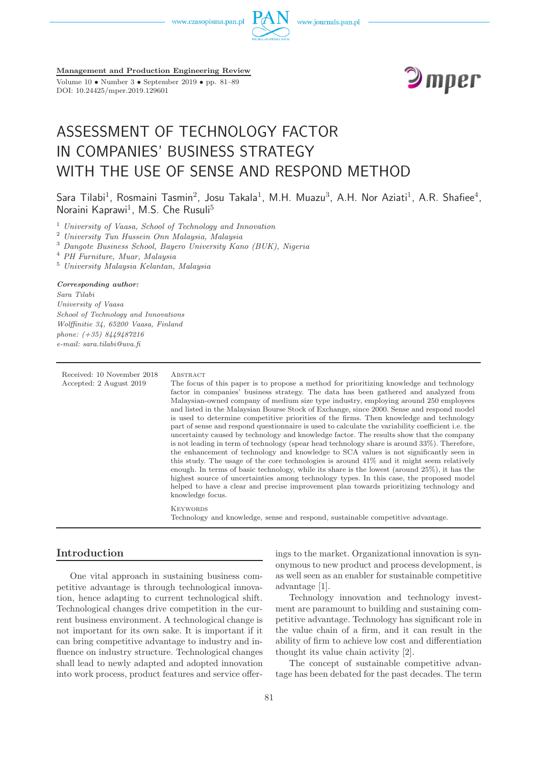

**Management and Production Engineering Review**

Volume 10 • Number 3 • September 2019 • pp. 81–89 DOI: 10.24425/mper.2019.129601



# ASSESSMENT OF TECHNOLOGY FACTOR IN COMPANIES' BUSINESS STRATEGY WITH THE USE OF SENSE AND RESPOND METHOD

Sara Tilabi<sup>1</sup>, Rosmaini Tasmin<sup>2</sup>, Josu Takala<sup>1</sup>, M.H. Muazu<sup>3</sup>, A.H. Nor Aziati<sup>1</sup>, A.R. Shafiee<sup>4</sup>, Noraini Kaprawi<sup>1</sup>, M.S. Che Rusuli<sup>5</sup>

<sup>1</sup> *University of Vaasa, School of Technology and Innovation*

<sup>2</sup> *University Tun Hussein Onn Malaysia, Malaysia*

<sup>3</sup> *Dangote Business School, Bayero University Kano (BUK), Nigeria*

<sup>4</sup> *PH Furniture, Muar, Malaysia*

<sup>5</sup> *University Malaysia Kelantan, Malaysia*

#### *Corresponding author:*

*Sara Tilabi University of Vaasa School of Technology and Innovations Wolffinitie 34, 65200 Vaasa, Finland phone: (+35) 8449487216 e-mail: sara.tilabi@uva.fi*

Received: 10 November 2018 ABSTRACT

Accepted: 2 August 2019 The focus of this paper is to propose a method for prioritizing knowledge and technology factor in companies' business strategy. The data has been gathered and analyzed from Malaysian-owned company of medium size type industry, employing around 250 employees and listed in the Malaysian Bourse Stock of Exchange, since 2000. Sense and respond model is used to determine competitive priorities of the firms. Then knowledge and technology part of sense and respond questionnaire is used to calculate the variability coefficient i.e. the uncertainty caused by technology and knowledge factor. The results show that the company is not leading in term of technology (spear head technology share is around 33%). Therefore, the enhancement of technology and knowledge to SCA values is not significantly seen in this study. The usage of the core technologies is around 41% and it might seem relatively enough. In terms of basic technology, while its share is the lowest (around 25%), it has the highest source of uncertainties among technology types. In this case, the proposed model helped to have a clear and precise improvement plan towards prioritizing technology and knowledge focus.

> **KEYWORDS** Technology and knowledge, sense and respond, sustainable competitive advantage.

#### **Introduction**

One vital approach in sustaining business competitive advantage is through technological innovation, hence adapting to current technological shift. Technological changes drive competition in the current business environment. A technological change is not important for its own sake. It is important if it can bring competitive advantage to industry and influence on industry structure. Technological changes shall lead to newly adapted and adopted innovation into work process, product features and service offerings to the market. Organizational innovation is synonymous to new product and process development, is as well seen as an enabler for sustainable competitive advantage [1].

Technology innovation and technology investment are paramount to building and sustaining competitive advantage. Technology has significant role in the value chain of a firm, and it can result in the ability of firm to achieve low cost and differentiation thought its value chain activity [2].

The concept of sustainable competitive advantage has been debated for the past decades. The term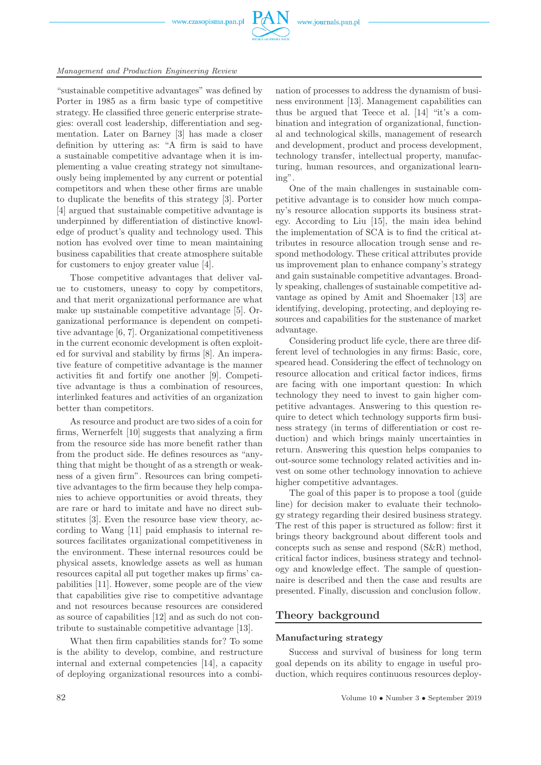

## *Management and Production Engineering Review*

"sustainable competitive advantages" was defined by Porter in 1985 as a firm basic type of competitive strategy. He classified three generic enterprise strategies: overall cost leadership, differentiation and segmentation. Later on Barney [3] has made a closer definition by uttering as: "A firm is said to have a sustainable competitive advantage when it is implementing a value creating strategy not simultaneously being implemented by any current or potential competitors and when these other firms are unable to duplicate the benefits of this strategy [3]. Porter [4] argued that sustainable competitive advantage is underpinned by differentiation of distinctive knowledge of product's quality and technology used. This notion has evolved over time to mean maintaining business capabilities that create atmosphere suitable for customers to enjoy greater value [4].

Those competitive advantages that deliver value to customers, uneasy to copy by competitors, and that merit organizational performance are what make up sustainable competitive advantage [5]. Organizational performance is dependent on competitive advantage [6, 7]. Organizational competitiveness in the current economic development is often exploited for survival and stability by firms [8]. An imperative feature of competitive advantage is the manner activities fit and fortify one another [9]. Competitive advantage is thus a combination of resources, interlinked features and activities of an organization better than competitors.

As resource and product are two sides of a coin for firms, Wernerfelt [10] suggests that analyzing a firm from the resource side has more benefit rather than from the product side. He defines resources as "anything that might be thought of as a strength or weakness of a given firm". Resources can bring competitive advantages to the firm because they help companies to achieve opportunities or avoid threats, they are rare or hard to imitate and have no direct substitutes [3]. Even the resource base view theory, according to Wang [11] paid emphasis to internal resources facilitates organizational competitiveness in the environment. These internal resources could be physical assets, knowledge assets as well as human resources capital all put together makes up firms' capabilities [11]. However, some people are of the view that capabilities give rise to competitive advantage and not resources because resources are considered as source of capabilities [12] and as such do not contribute to sustainable competitive advantage [13].

What then firm capabilities stands for? To some is the ability to develop, combine, and restructure internal and external competencies [14], a capacity of deploying organizational resources into a combi-

nation of processes to address the dynamism of business environment [13]. Management capabilities can thus be argued that Teece et al. [14] "it's a combination and integration of organizational, functional and technological skills, management of research and development, product and process development, technology transfer, intellectual property, manufacturing, human resources, and organizational learning".

One of the main challenges in sustainable competitive advantage is to consider how much company's resource allocation supports its business strategy. According to Liu [15], the main idea behind the implementation of SCA is to find the critical attributes in resource allocation trough sense and respond methodology. These critical attributes provide us improvement plan to enhance company's strategy and gain sustainable competitive advantages. Broadly speaking, challenges of sustainable competitive advantage as opined by Amit and Shoemaker [13] are identifying, developing, protecting, and deploying resources and capabilities for the sustenance of market advantage.

Considering product life cycle, there are three different level of technologies in any firms: Basic, core, speared head. Considering the effect of technology on resource allocation and critical factor indices, firms are facing with one important question: In which technology they need to invest to gain higher competitive advantages. Answering to this question require to detect which technology supports firm business strategy (in terms of differentiation or cost reduction) and which brings mainly uncertainties in return. Answering this question helps companies to out-source some technology related activities and invest on some other technology innovation to achieve higher competitive advantages.

The goal of this paper is to propose a tool (guide line) for decision maker to evaluate their technology strategy regarding their desired business strategy. The rest of this paper is structured as follow: first it brings theory background about different tools and concepts such as sense and respond (S&R) method, critical factor indices, business strategy and technology and knowledge effect. The sample of questionnaire is described and then the case and results are presented. Finally, discussion and conclusion follow.

### **Theory background**

#### **Manufacturing strategy**

Success and survival of business for long term goal depends on its ability to engage in useful production, which requires continuous resources deploy-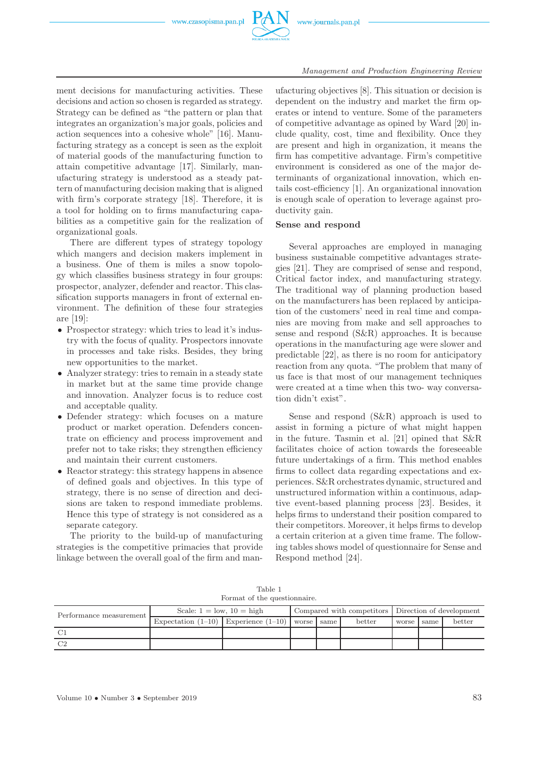

ment decisions for manufacturing activities. These decisions and action so chosen is regarded as strategy. Strategy can be defined as "the pattern or plan that integrates an organization's major goals, policies and action sequences into a cohesive whole" [16]. Manufacturing strategy as a concept is seen as the exploit of material goods of the manufacturing function to attain competitive advantage [17]. Similarly, manufacturing strategy is understood as a steady pattern of manufacturing decision making that is aligned with firm's corporate strategy [18]. Therefore, it is a tool for holding on to firms manufacturing capabilities as a competitive gain for the realization of organizational goals.

There are different types of strategy topology which mangers and decision makers implement in a business. One of them is miles a snow topology which classifies business strategy in four groups: prospector, analyzer, defender and reactor. This classification supports managers in front of external environment. The definition of these four strategies are [19]:

- Prospector strategy: which tries to lead it's industry with the focus of quality. Prospectors innovate in processes and take risks. Besides, they bring new opportunities to the market.
- Analyzer strategy: tries to remain in a steady state in market but at the same time provide change and innovation. Analyzer focus is to reduce cost and acceptable quality.
- Defender strategy: which focuses on a mature product or market operation. Defenders concentrate on efficiency and process improvement and prefer not to take risks; they strengthen efficiency and maintain their current customers.
- Reactor strategy: this strategy happens in absence of defined goals and objectives. In this type of strategy, there is no sense of direction and decisions are taken to respond immediate problems. Hence this type of strategy is not considered as a separate category.

The priority to the build-up of manufacturing strategies is the competitive primacies that provide linkage between the overall goal of the firm and man-

ufacturing objectives [8]. This situation or decision is dependent on the industry and market the firm operates or intend to venture. Some of the parameters of competitive advantage as opined by Ward [20] include quality, cost, time and flexibility. Once they are present and high in organization, it means the firm has competitive advantage. Firm's competitive environment is considered as one of the major determinants of organizational innovation, which entails cost-efficiency [1]. An organizational innovation is enough scale of operation to leverage against productivity gain.

#### **Sense and respond**

Several approaches are employed in managing business sustainable competitive advantages strategies [21]. They are comprised of sense and respond, Critical factor index, and manufacturing strategy. The traditional way of planning production based on the manufacturers has been replaced by anticipation of the customers' need in real time and companies are moving from make and sell approaches to sense and respond (S&R) approaches. It is because operations in the manufacturing age were slower and predictable [22], as there is no room for anticipatory reaction from any quota. "The problem that many of us face is that most of our management techniques were created at a time when this two- way conversation didn't exist".

Sense and respond (S&R) approach is used to assist in forming a picture of what might happen in the future. Tasmin et al. [21] opined that S&R facilitates choice of action towards the foreseeable future undertakings of a firm. This method enables firms to collect data regarding expectations and experiences. S&R orchestrates dynamic, structured and unstructured information within a continuous, adaptive event-based planning process [23]. Besides, it helps firms to understand their position compared to their competitors. Moreover, it helps firms to develop a certain criterion at a given time frame. The following tables shows model of questionnaire for Sense and Respond method [24].

Table 1 Format of the questionnaire.

| Performance measurement | Scale: $1 = \text{low}$ , $10 = \text{high}$        |  | Compared with competitors Direction of development |  |        |            |  |        |
|-------------------------|-----------------------------------------------------|--|----------------------------------------------------|--|--------|------------|--|--------|
|                         | Expectation $(1-10)$ Experience $(1-10)$ worse same |  |                                                    |  | better | worse same |  | better |
|                         |                                                     |  |                                                    |  |        |            |  |        |
| ി                       |                                                     |  |                                                    |  |        |            |  |        |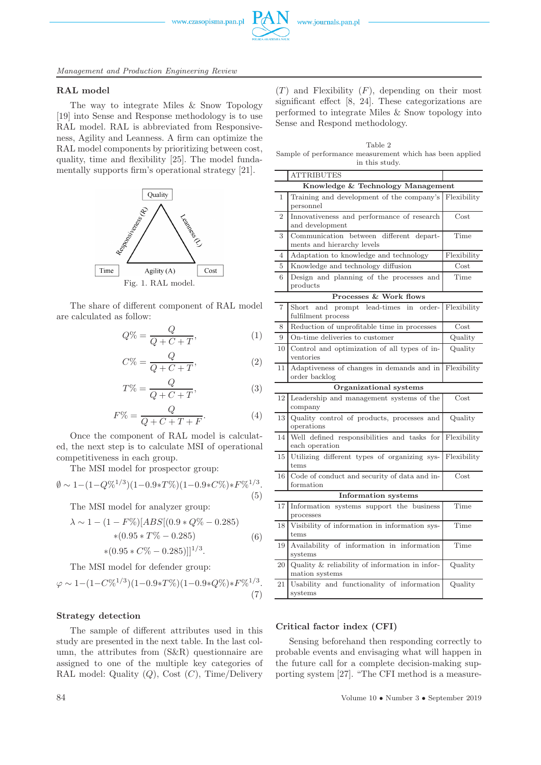

*Management and Production Engineering Review*

#### **RAL model**

The way to integrate Miles & Snow Topology [19] into Sense and Response methodology is to use RAL model. RAL is abbreviated from Responsiveness, Agility and Leanness. A firm can optimize the RAL model components by prioritizing between cost, quality, time and flexibility [25]. The model fundamentally supports firm's operational strategy [21].



The share of different component of RAL model are calculated as follow:

$$
Q\% = \frac{Q}{Q + C + T},\tag{1}
$$

$$
C\% = \frac{Q}{Q + C + T},\tag{2}
$$

$$
T\% = \frac{Q}{Q + C + T},\tag{3}
$$

$$
F\% = \frac{Q}{Q + C + T + F}.\tag{4}
$$

Once the component of RAL model is calculated, the next step is to calculate MSI of operational competitiveness in each group.

The MSI model for prospector group:

$$
\emptyset \sim 1 - (1 - Q\%)^{1/3} (1 - 0.9 \times T\%) (1 - 0.9 \times C\%) \times F\%^{1/3}.
$$
\n(5)

The MSI model for analyzer group:

$$
\lambda \sim 1 - (1 - F\%)[ABS[(0.9 * Q\% - 0.285)
$$
  
\*(0.95 \* T\% - 0.285) (6)  
\*(0.95 \* C\% - 0.285)]<sup>1/3</sup>.

The MSI model for defender group:

$$
\varphi \sim 1 - (1 - C\%^{1/3})(1 - 0.9 \times T\%)(1 - 0.9 \times Q\%) \times F\%^{1/3}.
$$
\n(7)

#### **Strategy detection**

The sample of different attributes used in this study are presented in the next table. In the last column, the attributes from (S&R) questionnaire are assigned to one of the multiple key categories of RAL model: Quality  $(Q)$ , Cost  $(C)$ , Time/Delivery

 $(T)$  and Flexibility  $(F)$ , depending on their most significant effect [8, 24]. These categorizations are performed to integrate Miles & Snow topology into Sense and Respond methodology.

Table 2 Sample of performance measurement which has been applied in this study.

|                                   | <b>ATTRIBUTES</b>                                                     |             |  |  |  |  |
|-----------------------------------|-----------------------------------------------------------------------|-------------|--|--|--|--|
| Knowledge & Technology Management |                                                                       |             |  |  |  |  |
| $\overline{1}$                    | Training and development of the company's Flexibility<br>personnel    |             |  |  |  |  |
| $\overline{2}$                    | Innovativeness and performance of research<br>and development         | Cost        |  |  |  |  |
| 3                                 | Communication between different depart-<br>ments and hierarchy levels | Time        |  |  |  |  |
| 4                                 | Adaptation to knowledge and technology                                | Flexibility |  |  |  |  |
| 5                                 | Knowledge and technology diffusion                                    | Cost        |  |  |  |  |
| 6                                 | Design and planning of the processes and<br>products                  | Time        |  |  |  |  |
|                                   | Processes & Work flows                                                |             |  |  |  |  |
| $\overline{7}$                    | Short<br>and prompt lead-times in<br>order-<br>fulfilment process     | Flexibility |  |  |  |  |
| 8                                 | Reduction of unprofitable time in processes                           | Cost        |  |  |  |  |
| 9                                 | On-time deliveries to customer                                        | Quality     |  |  |  |  |
| 10                                | Control and optimization of all types of in-<br>ventories             | Quality     |  |  |  |  |
| 11                                | Adaptiveness of changes in demands and in<br>order backlog            | Flexibility |  |  |  |  |
|                                   | Organizational systems                                                |             |  |  |  |  |
| 12                                | Leadership and management systems of the<br>company                   | Cost        |  |  |  |  |
| 13                                | Quality control of products, processes and<br>operations              | Quality     |  |  |  |  |
| 14                                | Well defined responsibilities and tasks for<br>each operation         | Flexibility |  |  |  |  |
| 15                                | Utilizing different types of organizing sys-<br>tems                  | Flexibility |  |  |  |  |
| 16                                | Code of conduct and security of data and in-<br>formation             | Cost        |  |  |  |  |
| <b>Information</b> systems        |                                                                       |             |  |  |  |  |
| 17                                | Information systems support the business<br>processes                 | Time        |  |  |  |  |
| 18                                | Visibility of information in information sys-<br>tems                 | Time        |  |  |  |  |
| 19                                | Availability of information in information<br>systems                 | Time        |  |  |  |  |
| 20                                | Quality & reliability of information in infor-<br>mation systems      | Quality     |  |  |  |  |
| 21                                | Usability and functionality of information<br>systems                 | Quality     |  |  |  |  |

#### **Critical factor index (CFI)**

Sensing beforehand then responding correctly to probable events and envisaging what will happen in the future call for a complete decision-making supporting system [27]. "The CFI method is a measure-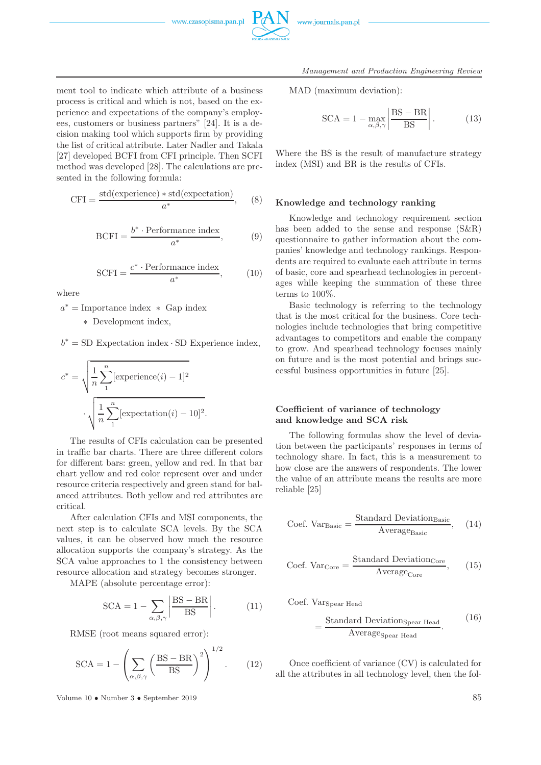



ment tool to indicate which attribute of a business process is critical and which is not, based on the experience and expectations of the company's employees, customers or business partners" [24]. It is a decision making tool which supports firm by providing the list of critical attribute. Later Nadler and Takala [27] developed BCFI from CFI principle. Then SCFI method was developed [28]. The calculations are presented in the following formula:

$$
CFI = \frac{\text{std}(\text{experience}) * \text{std}(\text{expectation})}{a^*},\qquad(8)
$$

$$
BCFI = \frac{b^* \cdot \text{Performance index}}{a^*},\tag{9}
$$

$$
SCFI = \frac{c^* \cdot \text{Performance index}}{a^*},\tag{10}
$$

where

 $a^*$  = Importance index  $*$  Gap index ∗ Development index,

 $b^* = SD$  Expectation index  $\cdot SD$  Experience index,

$$
c^* = \sqrt{\frac{1}{n} \sum_{1}^{n} [\text{experience}(i) - 1]^2}
$$

$$
\cdot \sqrt{\frac{1}{n} \sum_{1}^{n} [\text{expectation}(i) - 10]^2}.
$$

The results of CFIs calculation can be presented in traffic bar charts. There are three different colors for different bars: green, yellow and red. In that bar chart yellow and red color represent over and under resource criteria respectively and green stand for balanced attributes. Both yellow and red attributes are critical.

After calculation CFIs and MSI components, the next step is to calculate SCA levels. By the SCA values, it can be observed how much the resource allocation supports the company's strategy. As the SCA value approaches to 1 the consistency between resource allocation and strategy becomes stronger.

MAPE (absolute percentage error):

$$
SCA = 1 - \sum_{\alpha, \beta, \gamma} \left| \frac{\text{BS} - \text{BR}}{\text{BS}} \right|.
$$
 (11)

RMSE (root means squared error):

$$
SCA = 1 - \left(\sum_{\alpha,\beta,\gamma} \left(\frac{BS - BR}{BS}\right)^2\right)^{1/2}.
$$
 (12)

Volume 10 • Number 3 • September 2019 85

MAD (maximum deviation):

$$
SCA = 1 - \max_{\alpha, \beta, \gamma} \left| \frac{\text{BS} - \text{BR}}{\text{BS}} \right|.
$$
 (13)

Where the BS is the result of manufacture strategy index (MSI) and BR is the results of CFIs.

#### **Knowledge and technology ranking**

Knowledge and technology requirement section has been added to the sense and response (S&R) questionnaire to gather information about the companies' knowledge and technology rankings. Respondents are required to evaluate each attribute in terms of basic, core and spearhead technologies in percentages while keeping the summation of these three terms to 100%.

Basic technology is referring to the technology that is the most critical for the business. Core technologies include technologies that bring competitive advantages to competitors and enable the company to grow. And spearhead technology focuses mainly on future and is the most potential and brings successful business opportunities in future [25].

#### **Coefficient of variance of technology and knowledge and SCA risk**

The following formulas show the level of deviation between the participants' responses in terms of technology share. In fact, this is a measurement to how close are the answers of respondents. The lower the value of an attribute means the results are more reliable [25]

$$
Coef. VarBasic = \frac{Standard DeviationBasic}{AverageBasic}, (14)
$$

$$
Coef. \text{Var}_{Core} = \frac{\text{Standard Deviation}_{Core}}{\text{Average}_{Core}}, \qquad (15)
$$

Coef. VarSpear Head

$$
= \frac{\text{Standard Deviations}_{\text{pear Head}}}{\text{Average}_{\text{Spear Head}}}.
$$
 (16)

Once coefficient of variance (CV) is calculated for all the attributes in all technology level, then the fol-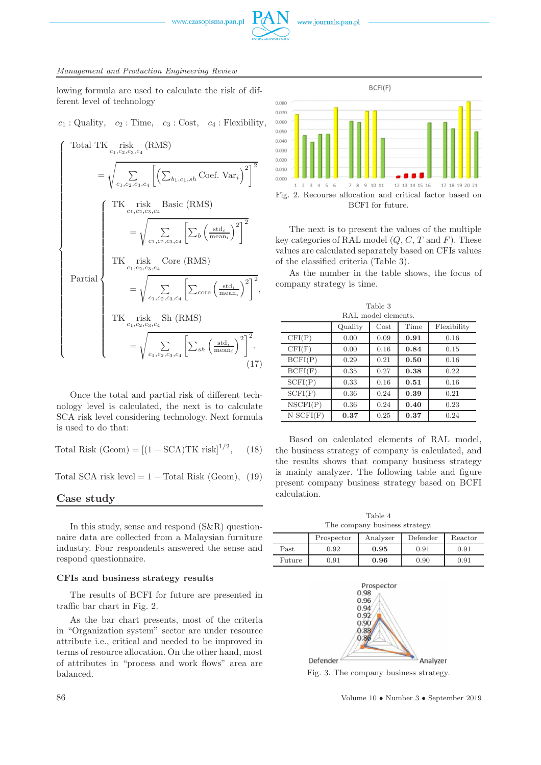

lowing formula are used to calculate the risk of different level of technology

$$
c_1
$$
: Quality,  $c_2$ : Time,  $c_3$ : Cost,  $c_4$ : Flexibility,

$$
\begin{cases}\n\text{Total TK}_{c_1,c_2,c_3,c_4}(\text{RMS}) \\
= \sqrt{\sum_{c_1,c_2,c_3,c_4} \left[ \left( \sum_{b_1,c_1,sh} \text{Coef. Var}_i \right)^2 \right]^2} \\
\text{first, this is the first case.} \\
\text{Basic (RMS)} \\
= \sqrt{\sum_{c_1,c_2,c_3,c_4} \left[ \sum_b \left( \frac{\text{std}_i}{\text{mean}_i} \right)^2 \right]^2} \\
\text{first, risk, Core (RMS)} \\
\text{Partial} \\
= \sqrt{\sum_{c_1,c_2,c_3,c_4} \left[ \sum_{\text{core}} \left( \frac{\text{std}_i}{\text{mean}_i} \right)^2 \right]^2}, \\
\text{TK, risk, Sh (RMS)} \\
= \sqrt{\sum_{c_1,c_2,c_3,c_4} \left[ \sum_{sh} \left( \frac{\text{std}_i}{\text{mean}_i} \right)^2 \right]^2}. \\
\text{(17)}\n\end{cases}
$$

Once the total and partial risk of different technology level is calculated, the next is to calculate SCA risk level considering technology. Next formula is used to do that:

Total Risk  $(Geom) = [(1 - SCA)TK$  risk $]^{1/2}$  $(18)$ 

Total SCA risk level =  $1 -$  Total Risk (Geom), (19)

#### **Case study**

In this study, sense and respond (S&R) questionnaire data are collected from a Malaysian furniture industry. Four respondents answered the sense and respond questionnaire.

#### **CFIs and business strategy results**

The results of BCFI for future are presented in traffic bar chart in Fig. 2.

As the bar chart presents, most of the criteria in "Organization system" sector are under resource attribute i.e., critical and needed to be improved in terms of resource allocation. On the other hand, most of attributes in "process and work flows" area are balanced.



The next is to present the values of the multiple key categories of RAL model  $(Q, C, T \text{ and } F)$ . These values are calculated separately based on CFIs values of the classified criteria (Table 3).

As the number in the table shows, the focus of company strategy is time.

| Table 3             |         |      |      |             |  |  |
|---------------------|---------|------|------|-------------|--|--|
| RAL model elements. |         |      |      |             |  |  |
|                     | Quality | Cost | Time | Flexibility |  |  |
| CFI(P)              | 0.00    | 0.09 | 0.91 | 0.16        |  |  |
| CFI(F)              | 0.00    | 0.16 | 0.84 | 0.15        |  |  |
| BCFI(P)             | 0.29    | 0.21 | 0.50 | 0.16        |  |  |
| BCFI(F)             | 0.35    | 0.27 | 0.38 | 0.22        |  |  |
| SCFI(P)             | 0.33    | 0.16 | 0.51 | 0.16        |  |  |
| SCFI(F)             | 0.36    | 0.24 | 0.39 | 0.21        |  |  |
| NSCFI(P)            | 0.36    | 0.24 | 0.40 | 0.23        |  |  |
| $N$ SCFI $(F)$      | 0.37    | 0.25 | 0.37 | 0.24        |  |  |

Based on calculated elements of RAL model, the business strategy of company is calculated, and the results shows that company business strategy is mainly analyzer. The following table and figure present company business strategy based on BCFI calculation.

Table 4 The company business strategy.

|        | Prospector | Analyzer | Defender   | Reactor |
|--------|------------|----------|------------|---------|
| Past   | 0.92       | 0.95     | $\rm 0.91$ | 0.91    |
| Future | 0.91       | 0.96     | 0.90       | 0.91    |



Fig. 3. The company business strategy.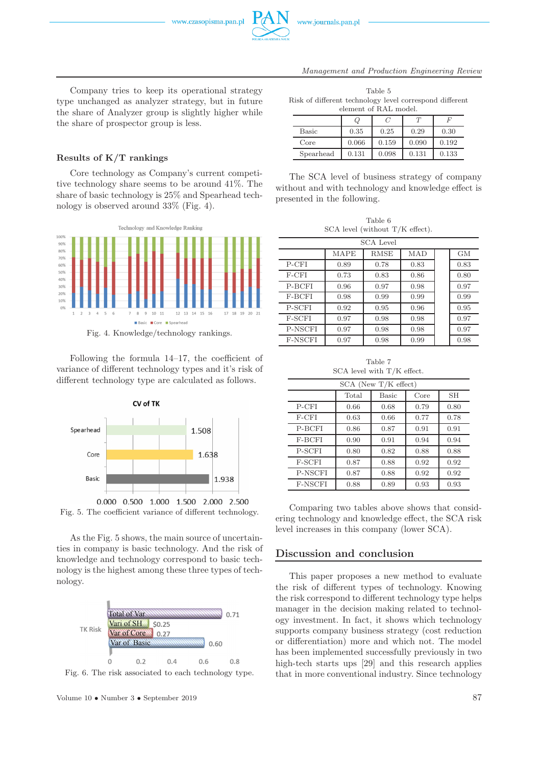

*Management and Production Engineering Review*

Company tries to keep its operational strategy type unchanged as analyzer strategy, but in future the share of Analyzer group is slightly higher while the share of prospector group is less.

#### **Results of K/T rankings**

Core technology as Company's current competitive technology share seems to be around 41%. The share of basic technology is 25% and Spearhead technology is observed around 33% (Fig. 4).



Following the formula 14–17, the coefficient of variance of different technology types and it's risk of different technology type are calculated as follows.



Fig. 5. The coefficient variance of different technology.

As the Fig. 5 shows, the main source of uncertainties in company is basic technology. And the risk of knowledge and technology correspond to basic technology is the highest among these three types of technology.



Fig. 6. The risk associated to each technology type.

| Table 5                                                 |
|---------------------------------------------------------|
| Risk of different technology level correspond different |
| element of RAL model.                                   |

|           |       | ( )   |       |       |  |  |
|-----------|-------|-------|-------|-------|--|--|
| Basic     | 0.35  | 0.25  | 0.29  | 0.30  |  |  |
| Core      | 0.066 | 0.159 | 0.090 | 0.192 |  |  |
| Spearhead | 0.131 | 0.098 | 0.131 | 0.133 |  |  |

The SCA level of business strategy of company without and with technology and knowledge effect is presented in the following.

Table 6 SCA level (without T/K effect).

| <b>SCA Level</b> |             |      |      |  |      |  |
|------------------|-------------|------|------|--|------|--|
|                  | <b>MAPE</b> | RMSE | MAD  |  | GМ   |  |
| P-CFI            | 0.89        | 0.78 | 0.83 |  | 0.83 |  |
| F-CFI            | 0.73        | 0.83 | 0.86 |  | 0.80 |  |
| P-BCFI           | 0.96        | 0.97 | 0.98 |  | 0.97 |  |
| F-BCFI           | 0.98        | 0.99 | 0.99 |  | 0.99 |  |
| <b>P-SCFI</b>    | 0.92        | 0.95 | 0.96 |  | 0.95 |  |
| F-SCFI           | 0.97        | 0.98 | 0.98 |  | 0.97 |  |
| P-NSCFI          | 0.97        | 0.98 | 0.98 |  | 0.97 |  |
| F-NSCFI          | 0.97        | 0.98 | 0.99 |  | 0.98 |  |

Table 7 SCA level with T/K effect.

| $SCA$ (New $T/K$ effect) |       |       |      |      |  |  |
|--------------------------|-------|-------|------|------|--|--|
|                          | Total | Basic | Core | SН   |  |  |
| $P-CFI$                  | 0.66  | 0.68  | 0.79 | 0.80 |  |  |
| F-CFI                    | 0.63  | 0.66  | 0.77 | 0.78 |  |  |
| P-BCFI                   | 0.86  | 0.87  | 0.91 | 0.91 |  |  |
| F-BCFI                   | 0.90  | 0.91  | 0.94 | 0.94 |  |  |
| P-SCFI                   | 0.80  | 0.82  | 0.88 | 0.88 |  |  |
| F-SCFI                   | 0.87  | 0.88  | 0.92 | 0.92 |  |  |
| P-NSCFI                  | 0.87  | 0.88  | 0.92 | 0.92 |  |  |
| F-NSCFI                  | 0.88  | 0.89  | 0.93 | 0.93 |  |  |

Comparing two tables above shows that considering technology and knowledge effect, the SCA risk level increases in this company (lower SCA).

#### **Discussion and conclusion**

This paper proposes a new method to evaluate the risk of different types of technology. Knowing the risk correspond to different technology type helps manager in the decision making related to technology investment. In fact, it shows which technology supports company business strategy (cost reduction or differentiation) more and which not. The model has been implemented successfully previously in two high-tech starts ups [29] and this research applies that in more conventional industry. Since technology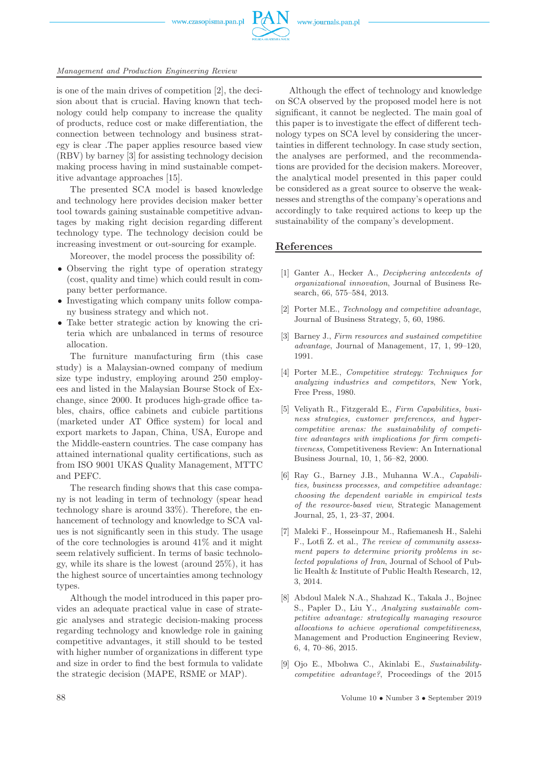

is one of the main drives of competition [2], the decision about that is crucial. Having known that technology could help company to increase the quality of products, reduce cost or make differentiation, the connection between technology and business strategy is clear .The paper applies resource based view (RBV) by barney [3] for assisting technology decision making process having in mind sustainable competitive advantage approaches [15].

The presented SCA model is based knowledge and technology here provides decision maker better tool towards gaining sustainable competitive advantages by making right decision regarding different technology type. The technology decision could be increasing investment or out-sourcing for example.

Moreover, the model process the possibility of:

- Observing the right type of operation strategy (cost, quality and time) which could result in company better performance.
- Investigating which company units follow company business strategy and which not.
- Take better strategic action by knowing the criteria which are unbalanced in terms of resource allocation.

The furniture manufacturing firm (this case study) is a Malaysian-owned company of medium size type industry, employing around 250 employees and listed in the Malaysian Bourse Stock of Exchange, since 2000. It produces high-grade office tables, chairs, office cabinets and cubicle partitions (marketed under AT Office system) for local and export markets to Japan, China, USA, Europe and the Middle-eastern countries. The case company has attained international quality certifications, such as from ISO 9001 UKAS Quality Management, MTTC and PEFC.

The research finding shows that this case company is not leading in term of technology (spear head technology share is around 33%). Therefore, the enhancement of technology and knowledge to SCA values is not significantly seen in this study. The usage of the core technologies is around 41% and it might seem relatively sufficient. In terms of basic technology, while its share is the lowest (around 25%), it has the highest source of uncertainties among technology types.

Although the model introduced in this paper provides an adequate practical value in case of strategic analyses and strategic decision-making process regarding technology and knowledge role in gaining competitive advantages, it still should to be tested with higher number of organizations in different type and size in order to find the best formula to validate the strategic decision (MAPE, RSME or MAP).

Although the effect of technology and knowledge on SCA observed by the proposed model here is not significant, it cannot be neglected. The main goal of this paper is to investigate the effect of different technology types on SCA level by considering the uncertainties in different technology. In case study section, the analyses are performed, and the recommendations are provided for the decision makers. Moreover, the analytical model presented in this paper could be considered as a great source to observe the weaknesses and strengths of the company's operations and accordingly to take required actions to keep up the sustainability of the company's development.

#### **References**

- [1] Ganter A., Hecker A., *Deciphering antecedents of organizational innovation*, Journal of Business Research, 66, 575–584, 2013.
- [2] Porter M.E., *Technology and competitive advantage*, Journal of Business Strategy, 5, 60, 1986.
- [3] Barney J., *Firm resources and sustained competitive advantage*, Journal of Management, 17, 1, 99–120, 1991.
- [4] Porter M.E., *Competitive strategy: Techniques for analyzing industries and competitors*, New York, Free Press, 1980.
- [5] Veliyath R., Fitzgerald E., *Firm Capabilities, business strategies, customer preferences, and hypercompetitive arenas: the sustainability of competitive advantages with implications for firm competitiveness*, Competitiveness Review: An International Business Journal, 10, 1, 56–82, 2000.
- [6] Ray G., Barney J.B., Muhanna W.A., *Capabilities, business processes, and competitive advantage: choosing the dependent variable in empirical tests of the resource-based view*, Strategic Management Journal, 25, 1, 23–37, 2004.
- [7] Maleki F., Hosseinpour M., Rafiemanesh H., Salehi F., Lotfi Z. et al., *The review of community assessment papers to determine priority problems in selected populations of Iran*, Journal of School of Public Health & Institute of Public Health Research, 12, 3, 2014.
- [8] Abdoul Malek N.A., Shahzad K., Takala J., Bojnec S., Papler D., Liu Y., *Analyzing sustainable competitive advantage: strategically managing resource allocations to achieve operational competitiveness*, Management and Production Engineering Review, 6, 4, 70–86, 2015.
- [9] Ojo E., Mbohwa C., Akinlabi E., *Sustainabilitycompetitive advantage?*, Proceedings of the 2015